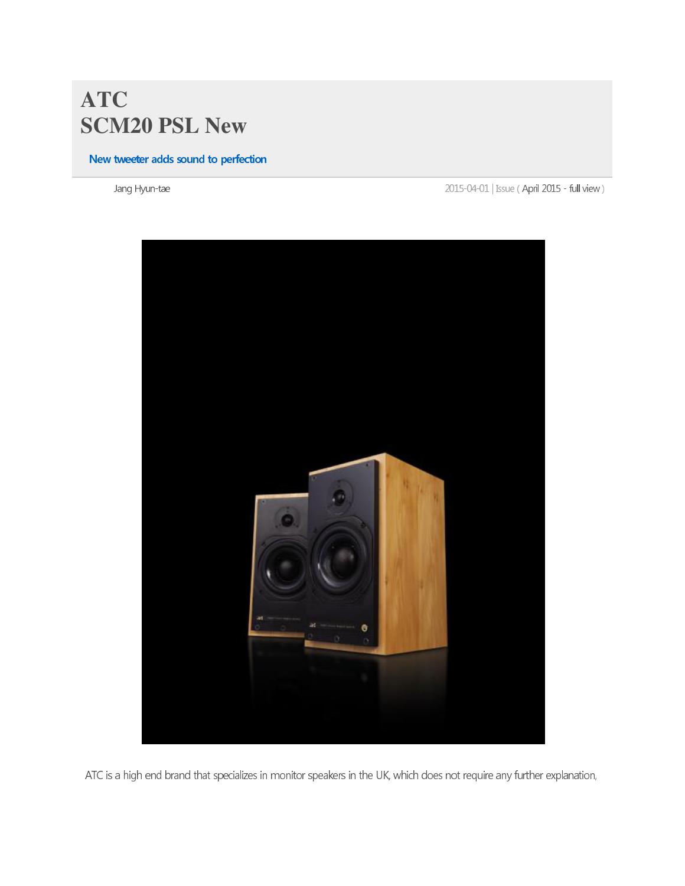## **ATC SCM20 PSL New**

## New tweeter adds sound to perfection

Jang Hyun-t

2015-04-01 | Issue (April 2015 - full view)



ATC is a high end brand that specializes in monitor speakers in the UK, which does not require any further explanation,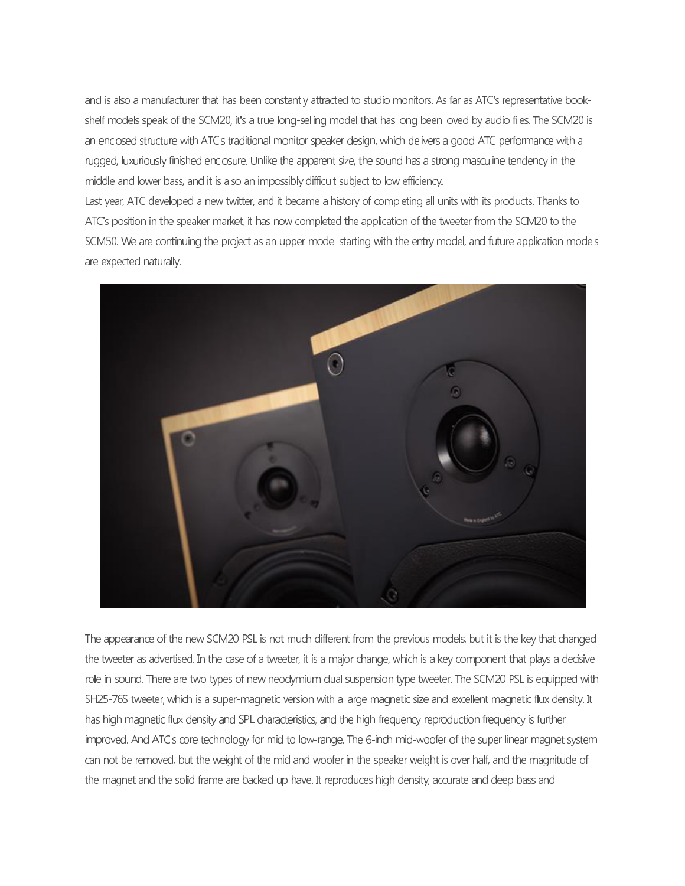and is also a manufacturer that has been constantly attracted to studio monitors. As far as ATC's representative bookshelf models speak of the SCM20, it's a true long-selling model that has long been loved by audio files. The SCM20 is an enclosed structure with ATC's traditional monitor speaker design, which delivers a good ATC performance with a rugged, luxuriously finished enclosure. Unlike the apparent size, the sound has a strong masculine tendency in the middle and lower bass, and it is also an impossibly difficult subject to low efficiency.

Last year, ATC developed a new twitter, and it became a history of completing all units with its products. Thanks to ATC's position in the speaker market, it has now completed the application of the tweeter from the SCM20 to the SCM50. We are continuing the project as an upper model starting with the entry model, and future application models are expected naturally.



The appearance of the new SCM20 PSL is not much different from the previous models, but it is the key that changed the tweeter as advertised. In the case of a tweeter, it is a major change, which is a key component that plays a decisive role in sound. There are two types of new neodymium dual suspension type tweeter. The SCM20 PSL is equipped with SH25-76S tweeter, which is a super-magnetic version with a large magnetic size and excellent magnetic flux density. It has high magnetic flux density and SPL characteristics, and the high frequency reproduction frequency is further improved. And ATC's core technology for mid to low-range. The 6-inch mid-woofer of the super linear magnet system can not be removed, but the weight of the mid and woofer in the speaker weight is over half, and the magnitude of the magnet and the solid frame are backed up have. It reproduces high density, accurate and deep bass and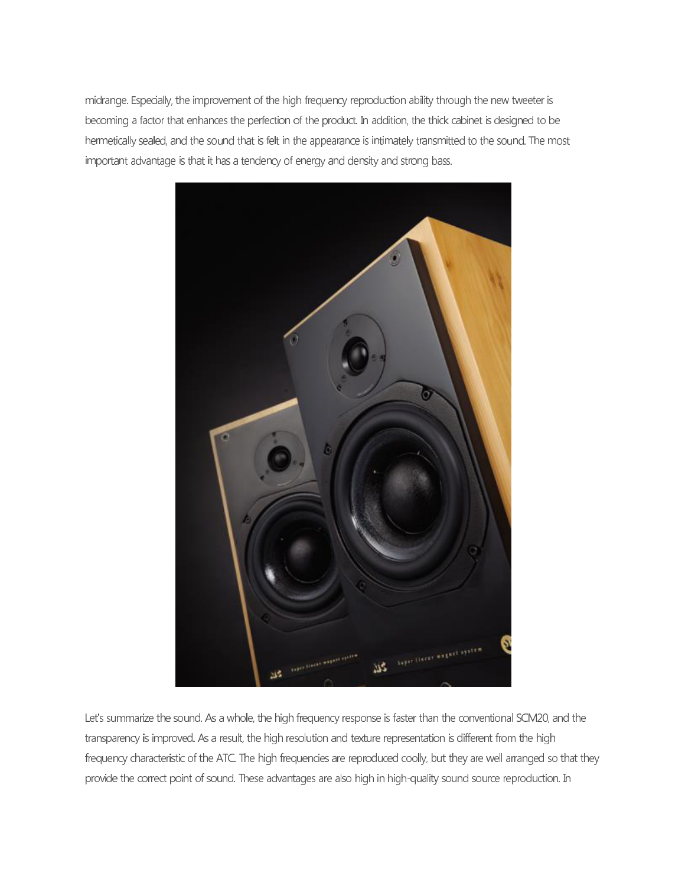midrange. Especially, the improvement of the high frequency reproduction ability through the new tweeter is becoming a factor that enhances the perfection of the product. In addition, the thick cabinet is designed to be hermetically sealed, and the sound that is felt in the appearance is intimately transmitted to the sound. The most important advantage is that it has a tendency of energy and density and strong bass.



Let's summarize the sound. As a whole, the high frequency response is faster than the conventional SCM20, and the transparency is improved. As a result, the high resolution and texture representation is different from the high frequency characteristic of the ATC. The high frequencies are reproduced coolly, but they are well arranged so that they provide the correct point of sound. These advantages are also high in high-quality sound source reproduction. In